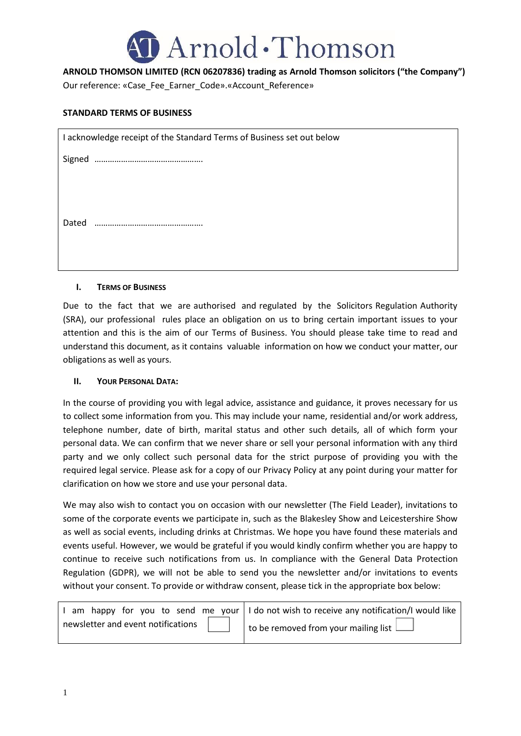

# **ARNOLD THOMSON LIMITED (RCN 06207836) trading as Arnold Thomson solicitors ("the Company")**

Our reference: «Case\_Fee\_Earner\_Code».«Account\_Reference»

### **STANDARD TERMS OF BUSINESS**

| I acknowledge receipt of the Standard Terms of Business set out below |  |  |  |  |
|-----------------------------------------------------------------------|--|--|--|--|
|                                                                       |  |  |  |  |
|                                                                       |  |  |  |  |
|                                                                       |  |  |  |  |
| Dated                                                                 |  |  |  |  |

#### **I. TERMS OF BUSINESS**

Due to the fact that we are authorised and regulated by the Solicitors Regulation Authority (SRA), our professional rules place an obligation on us to bring certain important issues to your attention and this is the aim of our Terms of Business. You should please take time to read and understand this document, as it contains valuable information on how we conduct your matter, our obligations as well as yours.

#### **II. YOUR PERSONAL DATA:**

In the course of providing you with legal advice, assistance and guidance, it proves necessary for us to collect some information from you. This may include your name, residential and/or work address, telephone number, date of birth, marital status and other such details, all of which form your personal data. We can confirm that we never share or sell your personal information with any third party and we only collect such personal data for the strict purpose of providing you with the required legal service. Please ask for a copy of our Privacy Policy at any point during your matter for clarification on how we store and use your personal data.

We may also wish to contact you on occasion with our newsletter (The Field Leader), invitations to some of the corporate events we participate in, such as the Blakesley Show and Leicestershire Show as well as social events, including drinks at Christmas. We hope you have found these materials and events useful. However, we would be grateful if you would kindly confirm whether you are happy to continue to receive such notifications from us. In compliance with the General Data Protection Regulation (GDPR), we will not be able to send you the newsletter and/or invitations to events without your consent. To provide or withdraw consent, please tick in the appropriate box below:

|  |  | I am happy for you to send me your I do not wish to receive any notification/I would like |
|--|--|-------------------------------------------------------------------------------------------|
|  |  | newsletter and event notifications $\Box$ to be removed from your mailing list $\Box$     |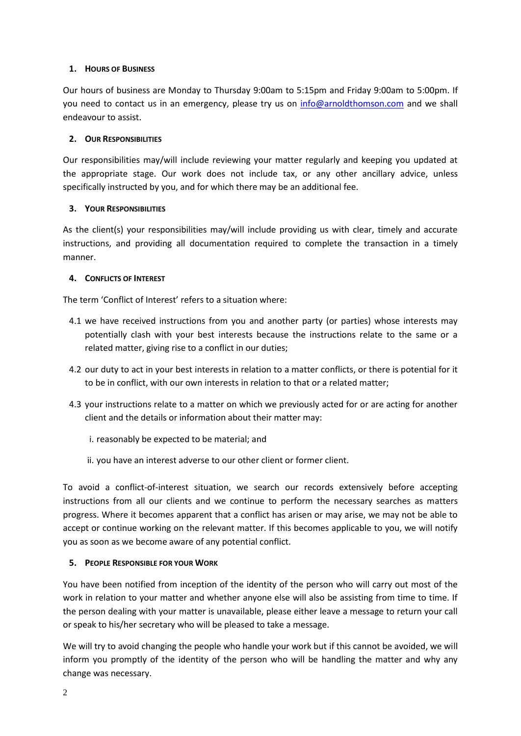## **1. HOURS OF BUSINESS**

Our hours of business are Monday to Thursday 9:00am to 5:15pm and Friday 9:00am to 5:00pm. If you need to contact us in an emergency, please try us on [info@arnoldthomson.com](mailto:info@arnoldthomson.com) and we shall endeavour to assist.

## **2. OUR RESPONSIBILITIES**

Our responsibilities may/will include reviewing your matter regularly and keeping you updated at the appropriate stage. Our work does not include tax, or any other ancillary advice, unless specifically instructed by you, and for which there may be an additional fee.

### **3. YOUR RESPONSIBILITIES**

As the client(s) your responsibilities may/will include providing us with clear, timely and accurate instructions, and providing all documentation required to complete the transaction in a timely manner.

### **4. CONFLICTS OF INTEREST**

The term 'Conflict of Interest' refers to a situation where:

- 4.1 we have received instructions from you and another party (or parties) whose interests may potentially clash with your best interests because the instructions relate to the same or a related matter, giving rise to a conflict in our duties;
- 4.2 our duty to act in your best interests in relation to a matter conflicts, or there is potential for it to be in conflict, with our own interests in relation to that or a related matter;
- 4.3 your instructions relate to a matter on which we previously acted for or are acting for another client and the details or information about their matter may:
	- i. reasonably be expected to be material; and
	- ii. you have an interest adverse to our other client or former client.

To avoid a conflict-of-interest situation, we search our records extensively before accepting instructions from all our clients and we continue to perform the necessary searches as matters progress. Where it becomes apparent that a conflict has arisen or may arise, we may not be able to accept or continue working on the relevant matter. If this becomes applicable to you, we will notify you as soon as we become aware of any potential conflict.

#### **5. PEOPLE RESPONSIBLE FOR YOUR WORK**

You have been notified from inception of the identity of the person who will carry out most of the work in relation to your matter and whether anyone else will also be assisting from time to time. If the person dealing with your matter is unavailable, please either leave a message to return your call or speak to his/her secretary who will be pleased to take a message.

We will try to avoid changing the people who handle your work but if this cannot be avoided, we will inform you promptly of the identity of the person who will be handling the matter and why any change was necessary.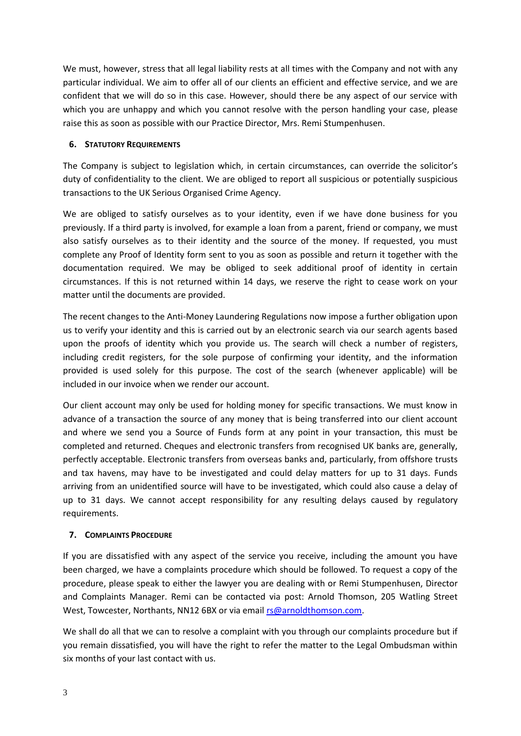We must, however, stress that all legal liability rests at all times with the Company and not with any particular individual. We aim to offer all of our clients an efficient and effective service, and we are confident that we will do so in this case. However, should there be any aspect of our service with which you are unhappy and which you cannot resolve with the person handling your case, please raise this as soon as possible with our Practice Director, Mrs. Remi Stumpenhusen.

# **6. STATUTORY REQUIREMENTS**

The Company is subject to legislation which, in certain circumstances, can override the solicitor's duty of confidentiality to the client. We are obliged to report all suspicious or potentially suspicious transactions to the UK Serious Organised Crime Agency.

We are obliged to satisfy ourselves as to your identity, even if we have done business for you previously. If a third party is involved, for example a loan from a parent, friend or company, we must also satisfy ourselves as to their identity and the source of the money. If requested, you must complete any Proof of Identity form sent to you as soon as possible and return it together with the documentation required. We may be obliged to seek additional proof of identity in certain circumstances. If this is not returned within 14 days, we reserve the right to cease work on your matter until the documents are provided.

The recent changes to the Anti-Money Laundering Regulations now impose a further obligation upon us to verify your identity and this is carried out by an electronic search via our search agents based upon the proofs of identity which you provide us. The search will check a number of registers, including credit registers, for the sole purpose of confirming your identity, and the information provided is used solely for this purpose. The cost of the search (whenever applicable) will be included in our invoice when we render our account.

Our client account may only be used for holding money for specific transactions. We must know in advance of a transaction the source of any money that is being transferred into our client account and where we send you a Source of Funds form at any point in your transaction, this must be completed and returned. Cheques and electronic transfers from recognised UK banks are, generally, perfectly acceptable. Electronic transfers from overseas banks and, particularly, from offshore trusts and tax havens, may have to be investigated and could delay matters for up to 31 days. Funds arriving from an unidentified source will have to be investigated, which could also cause a delay of up to 31 days. We cannot accept responsibility for any resulting delays caused by regulatory requirements.

# **7. COMPLAINTS PROCEDURE**

If you are dissatisfied with any aspect of the service you receive, including the amount you have been charged, we have a complaints procedure which should be followed. To request a copy of the procedure, please speak to either the lawyer you are dealing with or Remi Stumpenhusen, Director and Complaints Manager. Remi can be contacted via post: Arnold Thomson, 205 Watling Street West, Towcester, Northants, NN12 6BX or via emai[l rs@arnoldthomson.com.](mailto:rs@arnoldthomson.com)

We shall do all that we can to resolve a complaint with you through our complaints procedure but if you remain dissatisfied, you will have the right to refer the matter to the Legal Ombudsman within six months of your last contact with us.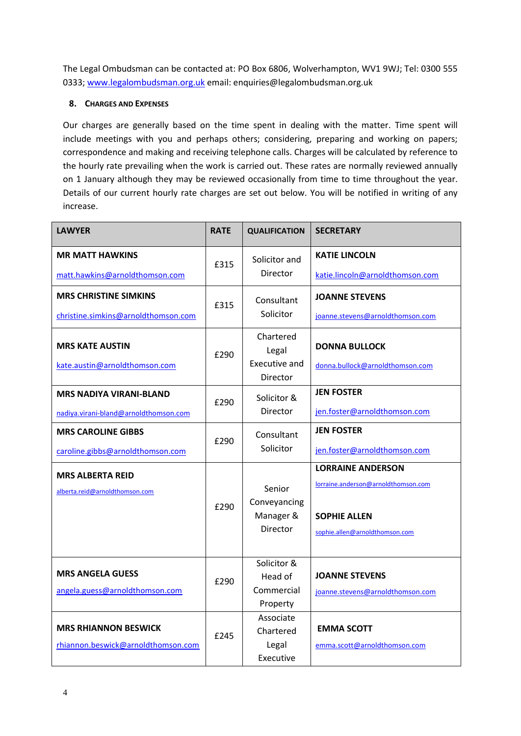The Legal Ombudsman can be contacted at: PO Box 6806, Wolverhampton, WV1 9WJ; Tel: 0300 555 0333[; www.legalombudsman.org.uk](http://www.legalombudsman.org.uk/) email: enquiries@legalombudsman.org.uk

## **8. CHARGES AND EXPENSES**

Our charges are generally based on the time spent in dealing with the matter. Time spent will include meetings with you and perhaps others; considering, preparing and working on papers; correspondence and making and receiving telephone calls. Charges will be calculated by reference to the hourly rate prevailing when the work is carried out. These rates are normally reviewed annually on 1 January although they may be reviewed occasionally from time to time throughout the year. Details of our current hourly rate charges are set out below. You will be notified in writing of any increase.

| <b>MR MATT HAWKINS</b><br><b>KATIE LINCOLN</b><br>Solicitor and<br>£315<br>Director<br>matt.hawkins@arnoldthomson.com<br>katie.lincoln@arnoldthomson.com<br><b>MRS CHRISTINE SIMKINS</b><br><b>JOANNE STEVENS</b><br>Consultant<br>£315<br>Solicitor<br>christine.simkins@arnoldthomson.com<br>joanne.stevens@arnoldthomson.com<br>Chartered<br><b>MRS KATE AUSTIN</b><br><b>DONNA BULLOCK</b><br>Legal<br>£290<br>Executive and<br>kate.austin@arnoldthomson.com<br>donna.bullock@arnoldthomson.com<br>Director<br><b>JEN FOSTER</b><br><b>MRS NADIYA VIRANI-BLAND</b><br>Solicitor &<br>£290<br>Director<br>jen.foster@arnoldthomson.com<br>nadiya.virani-bland@arnoldthomson.com<br><b>JEN FOSTER</b><br><b>MRS CAROLINE GIBBS</b><br>Consultant<br>£290<br>Solicitor<br>jen.foster@arnoldthomson.com<br>caroline.gibbs@arnoldthomson.com<br><b>LORRAINE ANDERSON</b><br><b>MRS ALBERTA REID</b><br>lorraine.anderson@arnoldthomson.com<br>Senior<br>alberta.reid@arnoldthomson.com<br>Conveyancing<br>£290<br>Manager &<br><b>SOPHIE ALLEN</b><br>Director<br>sophie.allen@arnoldthomson.com<br>Solicitor &<br><b>MRS ANGELA GUESS</b><br><b>JOANNE STEVENS</b><br>Head of<br>£290<br>Commercial<br>angela.guess@arnoldthomson.com<br>joanne.stevens@arnoldthomson.com<br>Property<br>Associate<br><b>MRS RHIANNON BESWICK</b><br><b>EMMA SCOTT</b> | <b>LAWYER</b> | <b>RATE</b> | <b>QUALIFICATION</b> | <b>SECRETARY</b> |
|---------------------------------------------------------------------------------------------------------------------------------------------------------------------------------------------------------------------------------------------------------------------------------------------------------------------------------------------------------------------------------------------------------------------------------------------------------------------------------------------------------------------------------------------------------------------------------------------------------------------------------------------------------------------------------------------------------------------------------------------------------------------------------------------------------------------------------------------------------------------------------------------------------------------------------------------------------------------------------------------------------------------------------------------------------------------------------------------------------------------------------------------------------------------------------------------------------------------------------------------------------------------------------------------------------------------------------------------------------|---------------|-------------|----------------------|------------------|
|                                                                                                                                                                                                                                                                                                                                                                                                                                                                                                                                                                                                                                                                                                                                                                                                                                                                                                                                                                                                                                                                                                                                                                                                                                                                                                                                                         |               |             |                      |                  |
|                                                                                                                                                                                                                                                                                                                                                                                                                                                                                                                                                                                                                                                                                                                                                                                                                                                                                                                                                                                                                                                                                                                                                                                                                                                                                                                                                         |               |             |                      |                  |
|                                                                                                                                                                                                                                                                                                                                                                                                                                                                                                                                                                                                                                                                                                                                                                                                                                                                                                                                                                                                                                                                                                                                                                                                                                                                                                                                                         |               |             |                      |                  |
|                                                                                                                                                                                                                                                                                                                                                                                                                                                                                                                                                                                                                                                                                                                                                                                                                                                                                                                                                                                                                                                                                                                                                                                                                                                                                                                                                         |               |             |                      |                  |
|                                                                                                                                                                                                                                                                                                                                                                                                                                                                                                                                                                                                                                                                                                                                                                                                                                                                                                                                                                                                                                                                                                                                                                                                                                                                                                                                                         |               |             |                      |                  |
|                                                                                                                                                                                                                                                                                                                                                                                                                                                                                                                                                                                                                                                                                                                                                                                                                                                                                                                                                                                                                                                                                                                                                                                                                                                                                                                                                         |               |             |                      |                  |
|                                                                                                                                                                                                                                                                                                                                                                                                                                                                                                                                                                                                                                                                                                                                                                                                                                                                                                                                                                                                                                                                                                                                                                                                                                                                                                                                                         |               |             |                      |                  |
|                                                                                                                                                                                                                                                                                                                                                                                                                                                                                                                                                                                                                                                                                                                                                                                                                                                                                                                                                                                                                                                                                                                                                                                                                                                                                                                                                         |               |             |                      |                  |
|                                                                                                                                                                                                                                                                                                                                                                                                                                                                                                                                                                                                                                                                                                                                                                                                                                                                                                                                                                                                                                                                                                                                                                                                                                                                                                                                                         |               |             |                      |                  |
|                                                                                                                                                                                                                                                                                                                                                                                                                                                                                                                                                                                                                                                                                                                                                                                                                                                                                                                                                                                                                                                                                                                                                                                                                                                                                                                                                         |               |             |                      |                  |
|                                                                                                                                                                                                                                                                                                                                                                                                                                                                                                                                                                                                                                                                                                                                                                                                                                                                                                                                                                                                                                                                                                                                                                                                                                                                                                                                                         |               |             |                      |                  |
|                                                                                                                                                                                                                                                                                                                                                                                                                                                                                                                                                                                                                                                                                                                                                                                                                                                                                                                                                                                                                                                                                                                                                                                                                                                                                                                                                         |               |             |                      |                  |
|                                                                                                                                                                                                                                                                                                                                                                                                                                                                                                                                                                                                                                                                                                                                                                                                                                                                                                                                                                                                                                                                                                                                                                                                                                                                                                                                                         |               |             |                      |                  |
|                                                                                                                                                                                                                                                                                                                                                                                                                                                                                                                                                                                                                                                                                                                                                                                                                                                                                                                                                                                                                                                                                                                                                                                                                                                                                                                                                         |               |             |                      |                  |
|                                                                                                                                                                                                                                                                                                                                                                                                                                                                                                                                                                                                                                                                                                                                                                                                                                                                                                                                                                                                                                                                                                                                                                                                                                                                                                                                                         |               |             |                      |                  |
|                                                                                                                                                                                                                                                                                                                                                                                                                                                                                                                                                                                                                                                                                                                                                                                                                                                                                                                                                                                                                                                                                                                                                                                                                                                                                                                                                         |               |             |                      |                  |
|                                                                                                                                                                                                                                                                                                                                                                                                                                                                                                                                                                                                                                                                                                                                                                                                                                                                                                                                                                                                                                                                                                                                                                                                                                                                                                                                                         |               |             |                      |                  |
|                                                                                                                                                                                                                                                                                                                                                                                                                                                                                                                                                                                                                                                                                                                                                                                                                                                                                                                                                                                                                                                                                                                                                                                                                                                                                                                                                         |               |             |                      |                  |
|                                                                                                                                                                                                                                                                                                                                                                                                                                                                                                                                                                                                                                                                                                                                                                                                                                                                                                                                                                                                                                                                                                                                                                                                                                                                                                                                                         |               | £245        |                      |                  |
|                                                                                                                                                                                                                                                                                                                                                                                                                                                                                                                                                                                                                                                                                                                                                                                                                                                                                                                                                                                                                                                                                                                                                                                                                                                                                                                                                         |               |             | Chartered            |                  |
| rhiannon.beswick@arnoldthomson.com<br>Legal<br>emma.scott@arnoldthomson.com<br>Executive                                                                                                                                                                                                                                                                                                                                                                                                                                                                                                                                                                                                                                                                                                                                                                                                                                                                                                                                                                                                                                                                                                                                                                                                                                                                |               |             |                      |                  |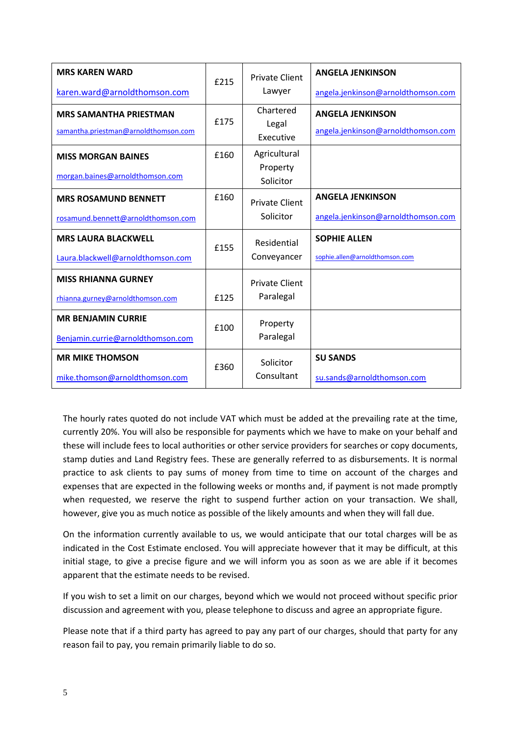| <b>MRS KAREN WARD</b>                                                 | £215 | <b>Private Client</b><br>Lawyer | <b>ANGELA JENKINSON</b>                                       |
|-----------------------------------------------------------------------|------|---------------------------------|---------------------------------------------------------------|
| karen.ward@arnoldthomson.com                                          |      |                                 | angela.jenkinson@arnoldthomson.com                            |
| <b>MRS SAMANTHA PRIESTMAN</b><br>samantha.priestman@arnoldthomson.com | £175 | Chartered<br>Legal<br>Executive | <b>ANGELA JENKINSON</b><br>angela.jenkinson@arnoldthomson.com |
| <b>MISS MORGAN BAINES</b>                                             | £160 | Agricultural                    |                                                               |
| morgan.baines@arnoldthomson.com                                       |      | Property<br>Solicitor           |                                                               |
| <b>MRS ROSAMUND BENNETT</b>                                           | £160 | <b>Private Client</b>           | <b>ANGELA JENKINSON</b>                                       |
| rosamund.bennett@arnoldthomson.com                                    |      | Solicitor                       | angela.jenkinson@arnoldthomson.com                            |
| <b>MRS LAURA BLACKWELL</b>                                            | £155 | Residential                     | <b>SOPHIE ALLEN</b>                                           |
| Laura.blackwell@arnoldthomson.com                                     |      | Conveyancer                     | sophie.allen@arnoldthomson.com                                |
| <b>MISS RHIANNA GURNEY</b>                                            |      | <b>Private Client</b>           |                                                               |
| rhianna.gurney@arnoldthomson.com                                      | £125 | Paralegal                       |                                                               |
| <b>MR BENJAMIN CURRIE</b><br>£100                                     |      | Property                        |                                                               |
| Benjamin.currie@arnoldthomson.com                                     |      | Paralegal                       |                                                               |
| <b>MR MIKE THOMSON</b>                                                | £360 | Solicitor                       | <b>SU SANDS</b>                                               |
| mike.thomson@arnoldthomson.com                                        |      | Consultant                      | su.sands@arnoldthomson.com                                    |

The hourly rates quoted do not include VAT which must be added at the prevailing rate at the time, currently 20%. You will also be responsible for payments which we have to make on your behalf and these will include fees to local authorities or other service providers for searches or copy documents, stamp duties and Land Registry fees. These are generally referred to as disbursements. It is normal practice to ask clients to pay sums of money from time to time on account of the charges and expenses that are expected in the following weeks or months and, if payment is not made promptly when requested, we reserve the right to suspend further action on your transaction. We shall, however, give you as much notice as possible of the likely amounts and when they will fall due.

On the information currently available to us, we would anticipate that our total charges will be as indicated in the Cost Estimate enclosed. You will appreciate however that it may be difficult, at this initial stage, to give a precise figure and we will inform you as soon as we are able if it becomes apparent that the estimate needs to be revised.

If you wish to set a limit on our charges, beyond which we would not proceed without specific prior discussion and agreement with you, please telephone to discuss and agree an appropriate figure.

Please note that if a third party has agreed to pay any part of our charges, should that party for any reason fail to pay, you remain primarily liable to do so.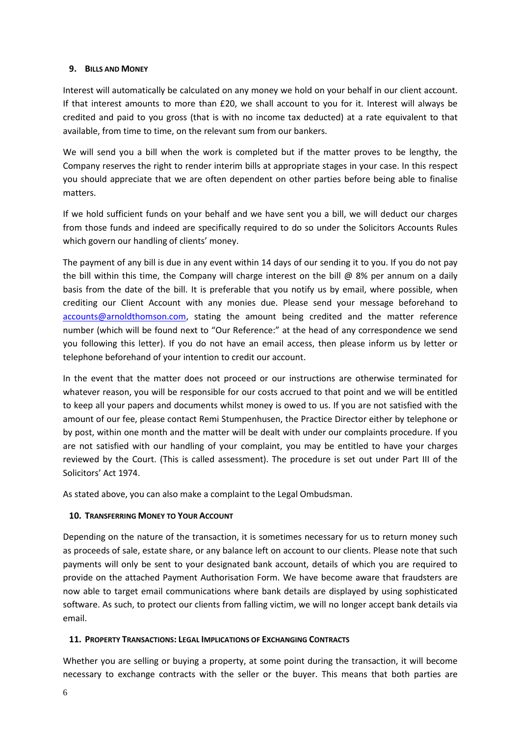### **9. BILLS AND MONEY**

Interest will automatically be calculated on any money we hold on your behalf in our client account. If that interest amounts to more than £20, we shall account to you for it. Interest will always be credited and paid to you gross (that is with no income tax deducted) at a rate equivalent to that available, from time to time, on the relevant sum from our bankers.

We will send you a bill when the work is completed but if the matter proves to be lengthy, the Company reserves the right to render interim bills at appropriate stages in your case. In this respect you should appreciate that we are often dependent on other parties before being able to finalise matters.

If we hold sufficient funds on your behalf and we have sent you a bill, we will deduct our charges from those funds and indeed are specifically required to do so under the Solicitors Accounts Rules which govern our handling of clients' money.

The payment of any bill is due in any event within 14 days of our sending it to you. If you do not pay the bill within this time, the Company will charge interest on the bill  $@$  8% per annum on a daily basis from the date of the bill. It is preferable that you notify us by email, where possible, when crediting our Client Account with any monies due. Please send your message beforehand to [accounts@arnoldthomson.com,](mailto:accounts@arnoldthomson.com) stating the amount being credited and the matter reference number (which will be found next to "Our Reference:" at the head of any correspondence we send you following this letter). If you do not have an email access, then please inform us by letter or telephone beforehand of your intention to credit our account.

In the event that the matter does not proceed or our instructions are otherwise terminated for whatever reason, you will be responsible for our costs accrued to that point and we will be entitled to keep all your papers and documents whilst money is owed to us. If you are not satisfied with the amount of our fee, please contact Remi Stumpenhusen, the Practice Director either by telephone or by post, within one month and the matter will be dealt with under our complaints procedure. If you are not satisfied with our handling of your complaint, you may be entitled to have your charges reviewed by the Court. (This is called assessment). The procedure is set out under Part III of the Solicitors' Act 1974.

As stated above, you can also make a complaint to the Legal Ombudsman.

## **10. TRANSFERRING MONEY TO YOUR ACCOUNT**

Depending on the nature of the transaction, it is sometimes necessary for us to return money such as proceeds of sale, estate share, or any balance left on account to our clients. Please note that such payments will only be sent to your designated bank account, details of which you are required to provide on the attached Payment Authorisation Form. We have become aware that fraudsters are now able to target email communications where bank details are displayed by using sophisticated software. As such, to protect our clients from falling victim, we will no longer accept bank details via email.

## **11. PROPERTY TRANSACTIONS: LEGAL IMPLICATIONS OF EXCHANGING CONTRACTS**

Whether you are selling or buying a property, at some point during the transaction, it will become necessary to exchange contracts with the seller or the buyer. This means that both parties are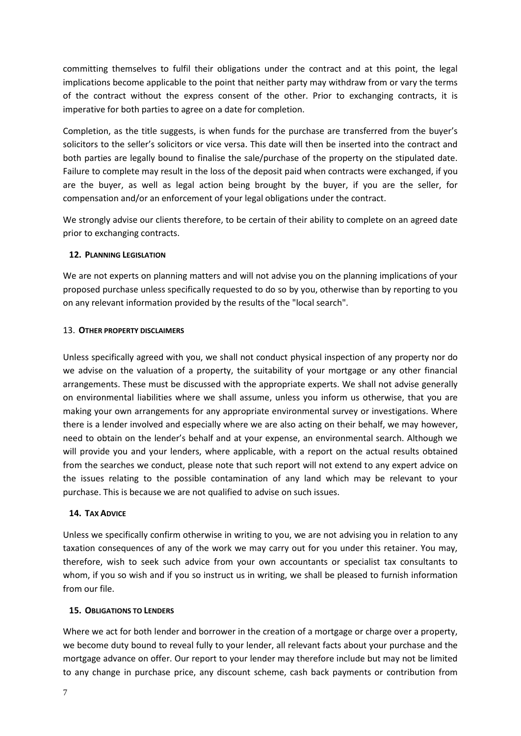committing themselves to fulfil their obligations under the contract and at this point, the legal implications become applicable to the point that neither party may withdraw from or vary the terms of the contract without the express consent of the other. Prior to exchanging contracts, it is imperative for both parties to agree on a date for completion.

Completion, as the title suggests, is when funds for the purchase are transferred from the buyer's solicitors to the seller's solicitors or vice versa. This date will then be inserted into the contract and both parties are legally bound to finalise the sale/purchase of the property on the stipulated date. Failure to complete may result in the loss of the deposit paid when contracts were exchanged, if you are the buyer, as well as legal action being brought by the buyer, if you are the seller, for compensation and/or an enforcement of your legal obligations under the contract.

We strongly advise our clients therefore, to be certain of their ability to complete on an agreed date prior to exchanging contracts.

### **12. PLANNING LEGISLATION**

We are not experts on planning matters and will not advise you on the planning implications of your proposed purchase unless specifically requested to do so by you, otherwise than by reporting to you on any relevant information provided by the results of the "local search".

#### 13. **OTHER PROPERTY DISCLAIMERS**

Unless specifically agreed with you, we shall not conduct physical inspection of any property nor do we advise on the valuation of a property, the suitability of your mortgage or any other financial arrangements. These must be discussed with the appropriate experts. We shall not advise generally on environmental liabilities where we shall assume, unless you inform us otherwise, that you are making your own arrangements for any appropriate environmental survey or investigations. Where there is a lender involved and especially where we are also acting on their behalf, we may however, need to obtain on the lender's behalf and at your expense, an environmental search. Although we will provide you and your lenders, where applicable, with a report on the actual results obtained from the searches we conduct, please note that such report will not extend to any expert advice on the issues relating to the possible contamination of any land which may be relevant to your purchase. This is because we are not qualified to advise on such issues.

#### **14. TAX ADVICE**

Unless we specifically confirm otherwise in writing to you, we are not advising you in relation to any taxation consequences of any of the work we may carry out for you under this retainer. You may, therefore, wish to seek such advice from your own accountants or specialist tax consultants to whom, if you so wish and if you so instruct us in writing, we shall be pleased to furnish information from our file.

#### **15. OBLIGATIONS TO LENDERS**

Where we act for both lender and borrower in the creation of a mortgage or charge over a property, we become duty bound to reveal fully to your lender, all relevant facts about your purchase and the mortgage advance on offer. Our report to your lender may therefore include but may not be limited to any change in purchase price, any discount scheme, cash back payments or contribution from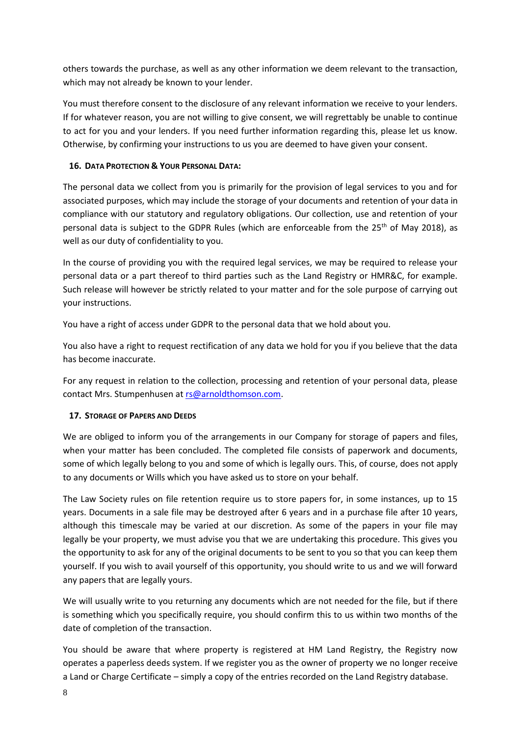others towards the purchase, as well as any other information we deem relevant to the transaction, which may not already be known to your lender.

You must therefore consent to the disclosure of any relevant information we receive to your lenders. If for whatever reason, you are not willing to give consent, we will regrettably be unable to continue to act for you and your lenders. If you need further information regarding this, please let us know. Otherwise, by confirming your instructions to us you are deemed to have given your consent.

# **16. DATA PROTECTION & YOUR PERSONAL DATA:**

The personal data we collect from you is primarily for the provision of legal services to you and for associated purposes, which may include the storage of your documents and retention of your data in compliance with our statutory and regulatory obligations. Our collection, use and retention of your personal data is subject to the GDPR Rules (which are enforceable from the  $25<sup>th</sup>$  of May 2018), as well as our duty of confidentiality to you.

In the course of providing you with the required legal services, we may be required to release your personal data or a part thereof to third parties such as the Land Registry or HMR&C, for example. Such release will however be strictly related to your matter and for the sole purpose of carrying out your instructions.

You have a right of access under GDPR to the personal data that we hold about you.

You also have a right to request rectification of any data we hold for you if you believe that the data has become inaccurate.

For any request in relation to the collection, processing and retention of your personal data, please contact Mrs. Stumpenhusen at [rs@arnoldthomson.com.](mailto:rs@arnoldthomson.com)

## **17. STORAGE OF PAPERS AND DEEDS**

We are obliged to inform you of the arrangements in our Company for storage of papers and files, when your matter has been concluded. The completed file consists of paperwork and documents, some of which legally belong to you and some of which is legally ours. This, of course, does not apply to any documents or Wills which you have asked us to store on your behalf.

The Law Society rules on file retention require us to store papers for, in some instances, up to 15 years. Documents in a sale file may be destroyed after 6 years and in a purchase file after 10 years, although this timescale may be varied at our discretion. As some of the papers in your file may legally be your property, we must advise you that we are undertaking this procedure. This gives you the opportunity to ask for any of the original documents to be sent to you so that you can keep them yourself. If you wish to avail yourself of this opportunity, you should write to us and we will forward any papers that are legally yours.

We will usually write to you returning any documents which are not needed for the file, but if there is something which you specifically require, you should confirm this to us within two months of the date of completion of the transaction.

You should be aware that where property is registered at HM Land Registry, the Registry now operates a paperless deeds system. If we register you as the owner of property we no longer receive a Land or Charge Certificate – simply a copy of the entries recorded on the Land Registry database.